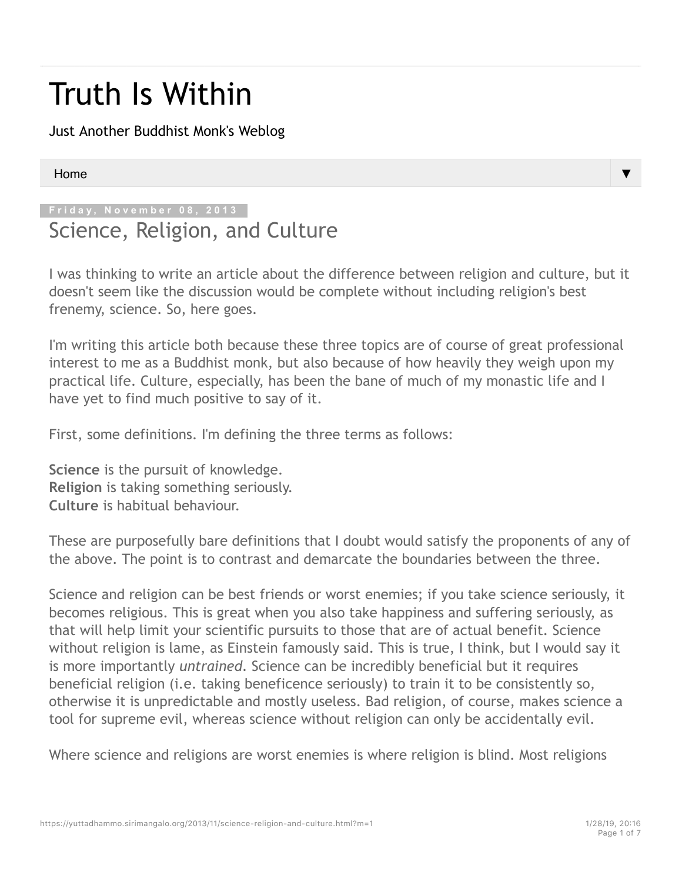# Truth Is Within

Just Another Buddhist Monk's Weblog

#### Home

**Friday, November 08, 2013**

## Science, Religion, and Culture

I was thinking to write an article about the difference between religion and culture, but it doesn't seem like the discussion would be complete without including religion's best frenemy, science. So, here goes.

I'm writing this article both because these three topics are of course of great professional interest to me as a Buddhist monk, but also because of how heavily they weigh upon my practical life. Culture, especially, has been the bane of much of my monastic life and I have yet to find much positive to say of it.

First, some definitions. I'm defining the three terms as follows:

**Science** is the pursuit of knowledge. **Religion** is taking something seriously. **Culture** is habitual behaviour.

These are purposefully bare definitions that I doubt would satisfy the proponents of any of the above. The point is to contrast and demarcate the boundaries between the three.

Science and religion can be best friends or worst enemies; if you take science seriously, it becomes religious. This is great when you also take happiness and suffering seriously, as that will help limit your scientific pursuits to those that are of actual benefit. Science without religion is lame, as Einstein famously said. This is true, I think, but I would say it is more importantly *untrained*. Science can be incredibly beneficial but it requires beneficial religion (i.e. taking beneficence seriously) to train it to be consistently so, otherwise it is unpredictable and mostly useless. Bad religion, of course, makes science a tool for supreme evil, whereas science without religion can only be accidentally evil.

Where science and religions are worst enemies is where religion is blind. Most religions

▼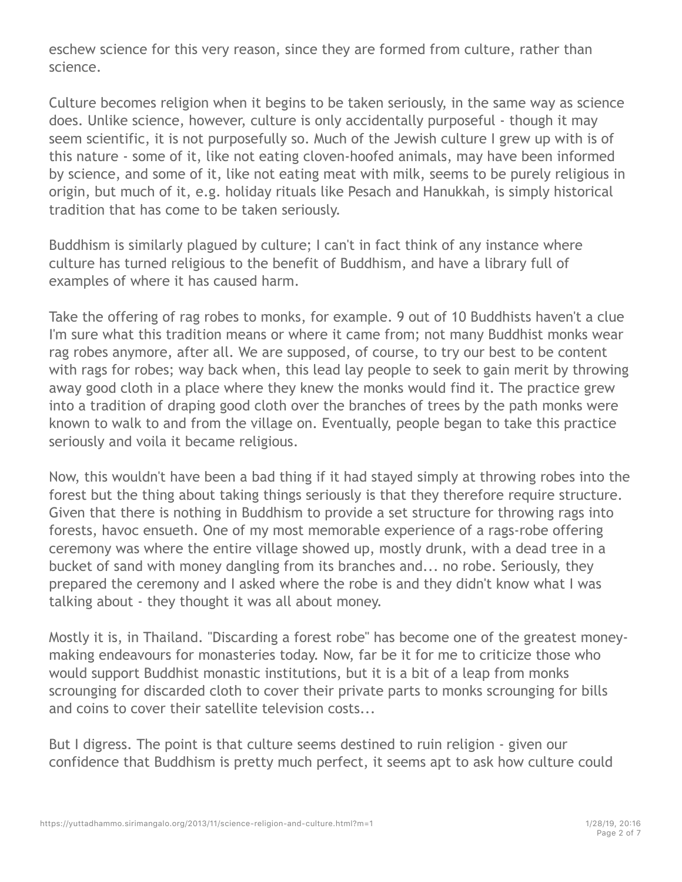eschew science for this very reason, since they are formed from culture, rather than science.

Culture becomes religion when it begins to be taken seriously, in the same way as science does. Unlike science, however, culture is only accidentally purposeful - though it may seem scientific, it is not purposefully so. Much of the Jewish culture I grew up with is of this nature - some of it, like not eating cloven-hoofed animals, may have been informed by science, and some of it, like not eating meat with milk, seems to be purely religious in origin, but much of it, e.g. holiday rituals like Pesach and Hanukkah, is simply historical tradition that has come to be taken seriously.

Buddhism is similarly plagued by culture; I can't in fact think of any instance where culture has turned religious to the benefit of Buddhism, and have a library full of examples of where it has caused harm.

Take the offering of rag robes to monks, for example. 9 out of 10 Buddhists haven't a clue I'm sure what this tradition means or where it came from; not many Buddhist monks wear rag robes anymore, after all. We are supposed, of course, to try our best to be content with rags for robes; way back when, this lead lay people to seek to gain merit by throwing away good cloth in a place where they knew the monks would find it. The practice grew into a tradition of draping good cloth over the branches of trees by the path monks were known to walk to and from the village on. Eventually, people began to take this practice seriously and voila it became religious.

Now, this wouldn't have been a bad thing if it had stayed simply at throwing robes into the forest but the thing about taking things seriously is that they therefore require structure. Given that there is nothing in Buddhism to provide a set structure for throwing rags into forests, havoc ensueth. One of my most memorable experience of a rags-robe offering ceremony was where the entire village showed up, mostly drunk, with a dead tree in a bucket of sand with money dangling from its branches and... no robe. Seriously, they prepared the ceremony and I asked where the robe is and they didn't know what I was talking about - they thought it was all about money.

Mostly it is, in Thailand. "Discarding a forest robe" has become one of the greatest moneymaking endeavours for monasteries today. Now, far be it for me to criticize those who would support Buddhist monastic institutions, but it is a bit of a leap from monks scrounging for discarded cloth to cover their private parts to monks scrounging for bills and coins to cover their satellite television costs...

But I digress. The point is that culture seems destined to ruin religion - given our confidence that Buddhism is pretty much perfect, it seems apt to ask how culture could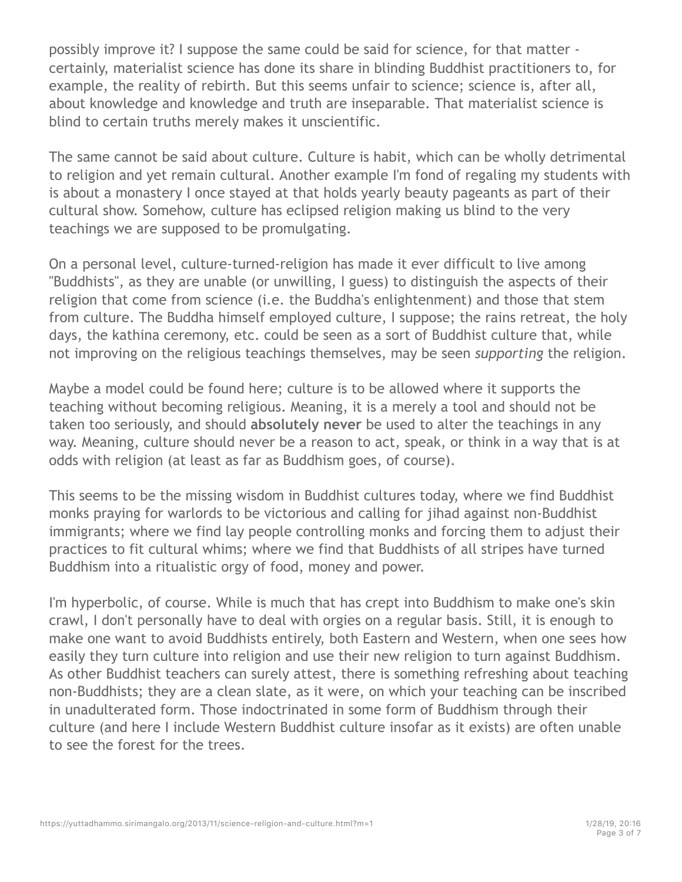possibly improve it? I suppose the same could be said for science, for that matter certainly, materialist science has done its share in blinding Buddhist practitioners to, for example, the reality of rebirth. But this seems unfair to science; science is, after all, about knowledge and knowledge and truth are inseparable. That materialist science is blind to certain truths merely makes it unscientific.

The same cannot be said about culture. Culture is habit, which can be wholly detrimental to religion and yet remain cultural. Another example I'm fond of regaling my students with is about a monastery I once stayed at that holds yearly beauty pageants as part of their cultural show. Somehow, culture has eclipsed religion making us blind to the very teachings we are supposed to be promulgating.

On a personal level, culture-turned-religion has made it ever difficult to live among "Buddhists", as they are unable (or unwilling, I guess) to distinguish the aspects of their religion that come from science (i.e. the Buddha's enlightenment) and those that stem from culture. The Buddha himself employed culture, I suppose; the rains retreat, the holy days, the kathina ceremony, etc. could be seen as a sort of Buddhist culture that, while not improving on the religious teachings themselves, may be seen *supporting* the religion.

Maybe a model could be found here; culture is to be allowed where it supports the teaching without becoming religious. Meaning, it is a merely a tool and should not be taken too seriously, and should **absolutely never** be used to alter the teachings in any way. Meaning, culture should never be a reason to act, speak, or think in a way that is at odds with religion (at least as far as Buddhism goes, of course).

This seems to be the missing wisdom in Buddhist cultures today, where we find Buddhist monks praying for warlords to be victorious and calling for jihad against non-Buddhist immigrants; where we find lay people controlling monks and forcing them to adjust their practices to fit cultural whims; where we find that Buddhists of all stripes have turned Buddhism into a ritualistic orgy of food, money and power.

I'm hyperbolic, of course. While is much that has crept into Buddhism to make one's skin crawl, I don't personally have to deal with orgies on a regular basis. Still, it is enough to make one want to avoid Buddhists entirely, both Eastern and Western, when one sees how easily they turn culture into religion and use their new religion to turn against Buddhism. As other Buddhist teachers can surely attest, there is something refreshing about teaching non-Buddhists; they are a clean slate, as it were, on which your teaching can be inscribed in unadulterated form. Those indoctrinated in some form of Buddhism through their culture (and here I include Western Buddhist culture insofar as it exists) are often unable to see the forest for the trees.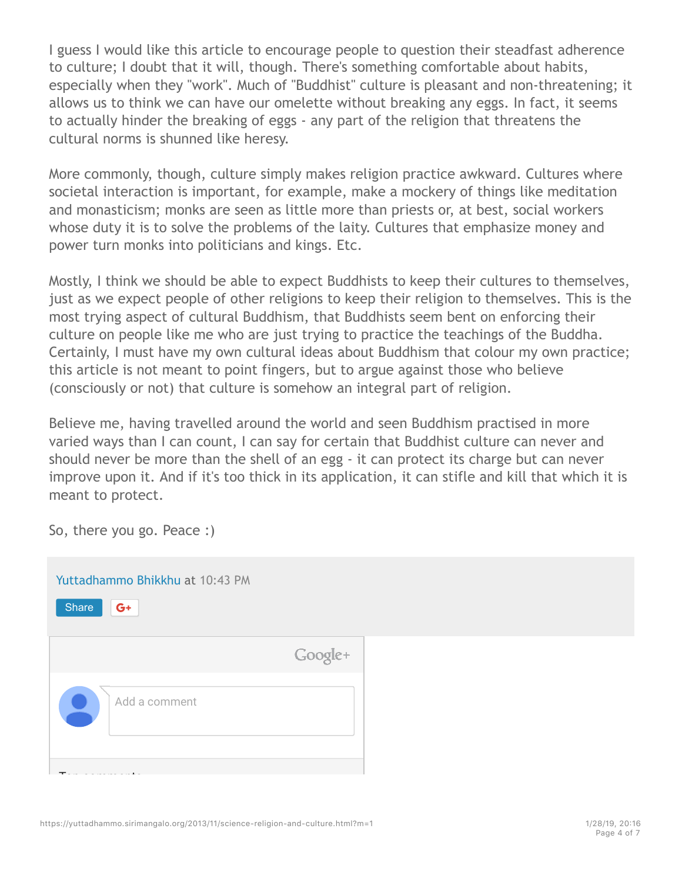I guess I would like this article to encourage people to question their steadfast adherence to culture; I doubt that it will, though. There's something comfortable about habits, especially when they "work". Much of "Buddhist" culture is pleasant and non-threatening; it allows us to think we can have our omelette without breaking any eggs. In fact, it seems to actually hinder the breaking of eggs - any part of the religion that threatens the cultural norms is shunned like heresy.

More commonly, though, culture simply makes religion practice awkward. Cultures where societal interaction is important, for example, make a mockery of things like meditation and monasticism; monks are seen as little more than priests or, at best, social workers whose duty it is to solve the problems of the laity. Cultures that emphasize money and power turn monks into politicians and kings. Etc.

Mostly, I think we should be able to expect Buddhists to keep their cultures to themselves, just as we expect people of other religions to keep their religion to themselves. This is the most trying aspect of cultural Buddhism, that Buddhists seem bent on enforcing their culture on people like me who are just trying to practice the teachings of the Buddha. Certainly, I must have my own cultural ideas about Buddhism that colour my own practice; this article is not meant to point fingers, but to argue against those who believe (consciously or not) that culture is somehow an integral part of religion.

Believe me, having travelled around the world and seen Buddhism practised in more varied ways than I can count, I can say for certain that Buddhist culture can never and should never be more than the shell of an egg - it can protect its charge but can never improve upon it. And if it's too thick in its application, it can stifle and kill that which it is meant to protect.

So, there you go. Peace :)

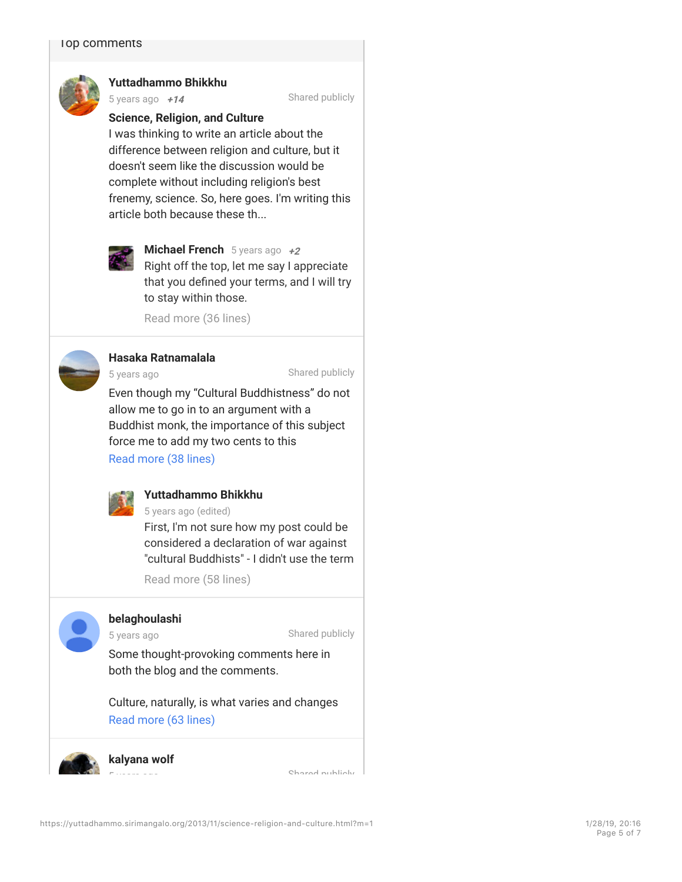

#### **Yuttadhammo Bhikkhu**

5 years ago **+1**

Shared publicly

#### **<sup>45</sup> Science, Religion, and Culture <sup>4</sup>**

I was thinking to write an article about the difference between religion and culture, but it doesn't seem like the discussion would be complete without including religion's best frenemy, science. So, here goes. I'm writing this article both because these th...



#### **Michael French** 5 years ago  $+2$

**Michael French** 5 years ago +2<br>Right off the top, let me say I appreciate that you defined your terms, and I will try to stay within those.

Read more (36 lines)



#### **Hasaka Ratnamalala**

5 years ago

Shared publicly

Even though my "Cultural Buddhistness" do not allow me to go in to an argument with a Buddhist monk, the importance of this subject force me to add my two cents to this

Read more (38 lines) and respect Bank Band



### **Puttadhammo Bhikkhu**

 $\frac{1}{2}$  5 years ago (edited) First, I'm not sure how my post could be considered a declaration of war against

"cultural Buddhists" - I didn't use the term called cultural Buddhists to provide monks with

 $\frac{1}{2}$ shelter, food and clothing. The case and clothing  $\frac{1}{2}$ Read more (58 lines)

5 years ago

#### against "cultural Buddhists" I invite you to look **belaghoulashi**

Shared publicly

Some thought-provoking comments here in both the blog and the comments. "true Dhamma is replace by Dhamma-like

Culture, naturally, is what varies and changes Read more (63 lines) Caucasian society, where everything is

kalyana wolf "Eastern" value is converted in the money of  $\mathbb{R}^n$ necessity, the way any given Uower has to the way any given Uower has to the way any given Uower has to the Uo **kalyana wolf** 5 years ago

making ventures, as soon as it is introduced to the soon as it is introduced to the soon as it is in the society of  $\sim$ **emerge the special temperature through the special temperature in the special temperature in the special tempe**<br>Shared publicly in the special temperature in the special temperature in the special temperature in the speci

"religion" always emerges through it, of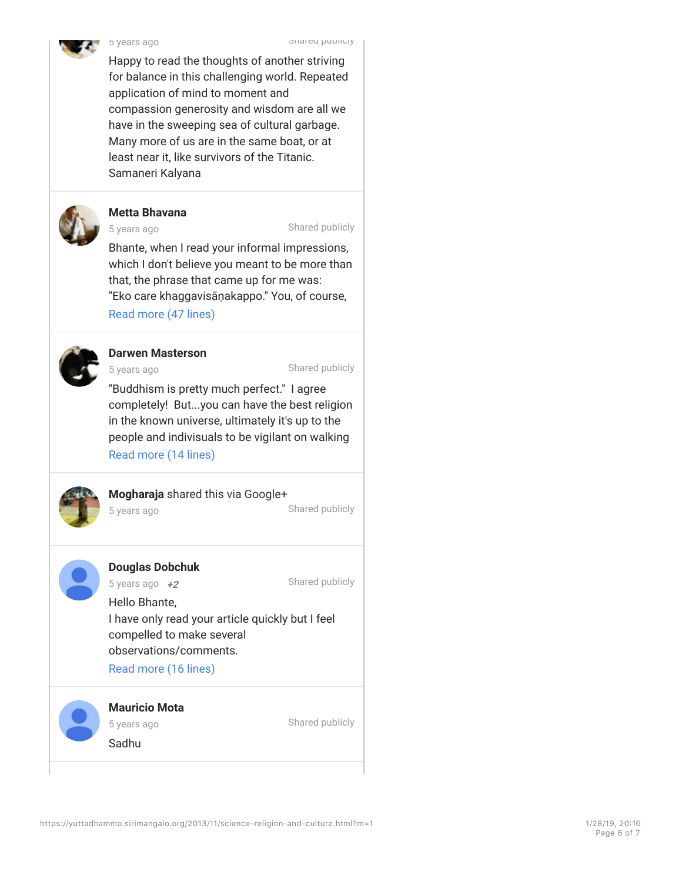

Happy to read the thoughts of another striving for balance in this challenging world. Repeated application of mind to moment and compassion generosity and wisdom are all we have in the sweeping sea of cultural garbage. Many more of us are in the same boat, or at least near it, like survivors of the Titanic. Samaneri Kalyana



#### **Metta Bhavana**

5 years ago

Shared publicly

Bhante, when I read your informal impressions, which I don't believe you meant to be more than that, the phrase that came up for me was: "Eko care khaggavisāṇakappo." You, of course, Read more (47 lines) and the suttainable form the suttaining  $\sim$ 



#### rhinoceros." **Darwen Masterson**

5 years ago

others it means "wander alone like a

**Darwen masterson**<br>5 vears ago o years ago

"Buddhism is pretty much perfect." I agree completely! But...you can have the best religion in the known universe, ultimately it's up to the people and indivisuals to be vigilant on walking Read more (14 lines)

not yet have the wisdom to avoid the things that



#### Mogharaia shared this via Googlet **Mogharaja** shared this via Google+<br>- Aband with

Bhikkus, like rhinos, being exotic and rare

when the  $\mathcal{L}_{\text{max}}$  do, or dinary humans can perhaps can perhaps can perhaps can perhaps can perhaps can perhaps can perhaps can perhaps can perhaps can perhaps can perhaps can perhaps can perhaps can perhaps can perha Most people... 5 years ago

attention, even when they do not seek it. Even when they do shared publicly

### **Douglas Dobchuk** rhinopagendas. Mass hysteria syndrome kind of the black rhinopage of the black rhinopage of the black rhinopage of the black rhinopage of the black rhinopage of the black rhinopage of the black rhinopage

Shared publicly

5 years ago  $+2$  Shared pub rare form of monk may be unable to exist, on than carving out their own road. I still have **+23** Hello Bhante,**<sup>2</sup>** I have only read your article quickly but I feel compelled to make several observations/comments.

Read more (16 lines)

#### $\blacksquare$ inade and craving. But it also made and craving. But it also made and craving. But it also made and cravi  $\mathbf{a}$  and  $\mathbf{b}$  of daily life. In the midst of daily life. In the midst of daily life.  $s = \frac{1}{2}$ **Mauricio Mota**

of years ago arrangement of needs into a culture of  $\sigma$ Personally, I have the greatest respect to the greatest respect to the greatest respect to the greatest respect of the greatest respect to the greatest respect of the greatest respect to the greatest respect of the greates Shared publicly

diameter this became corrupt or  $\mathcal{S}$  and  $\mathcal{S}$  and  $\mathcal{S}$  or  $\mathcal{S}$  or  $\mathcal{S}$  or  $\mathcal{S}$  or  $\mathcal{S}$  or  $\mathcal{S}$  or  $\mathcal{S}$  or  $\mathcal{S}$  or  $\mathcal{S}$  or  $\mathcal{S}$  or  $\mathcal{S}$  or  $\mathcal{S}$  or  $\mathcal{S}$  or  $\mathcal{S}$  $\mathsf{sa}$  and  $\mathsf{sa}$  wage this struggle and  $\mathsf{sa}$  and  $\mathsf{sa}$  and  $\mathsf{sa}$  and  $\mathsf{sa}$  and  $\mathsf{sa}$  and  $\mathsf{sa}$  and  $\mathsf{sa}$  and  $\mathsf{sa}$  and  $\mathsf{sa}$  and  $\mathsf{sa}$  and  $\mathsf{sa}$  and  $\mathsf{sa}$  and  $\mathsf{sa}$  and  $\mathsf{sa}$ 5 years ago Sadhu

https://yuttadhammo.sirimangalo.org/2013/11/science-religion-and-culture.html?m=1 1/28/10, 20:16

ritualistic, or just trivial and misguided. People

is to my mind a mark of a great teacher. Not

regarding your desire and effort to walk a true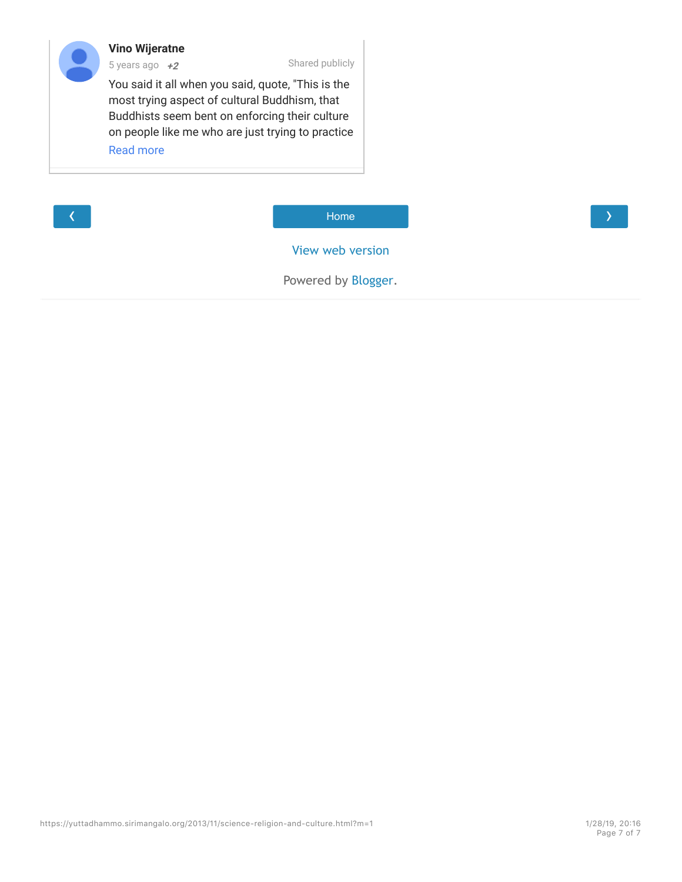#### **Vino Wijeratne** 5 years ago **+2**

Shared publicly

**<sup>3</sup>** You said it all when you said, quote, "This is the **<sup>2</sup>** most trying aspect of cultural Buddhism, that Buddhists seem bent on enforcing their culture on people like me who are just trying to practice the teachings of the Buddham and the Buddham and the Buddham and the Buddham and the Buddham and the Buddham a



 $\overline{\text{Home}}$  and  $\overline{\text{Home}}$  and  $\overline{\text{Home}}$ Home

View web version

Powered by Blogger.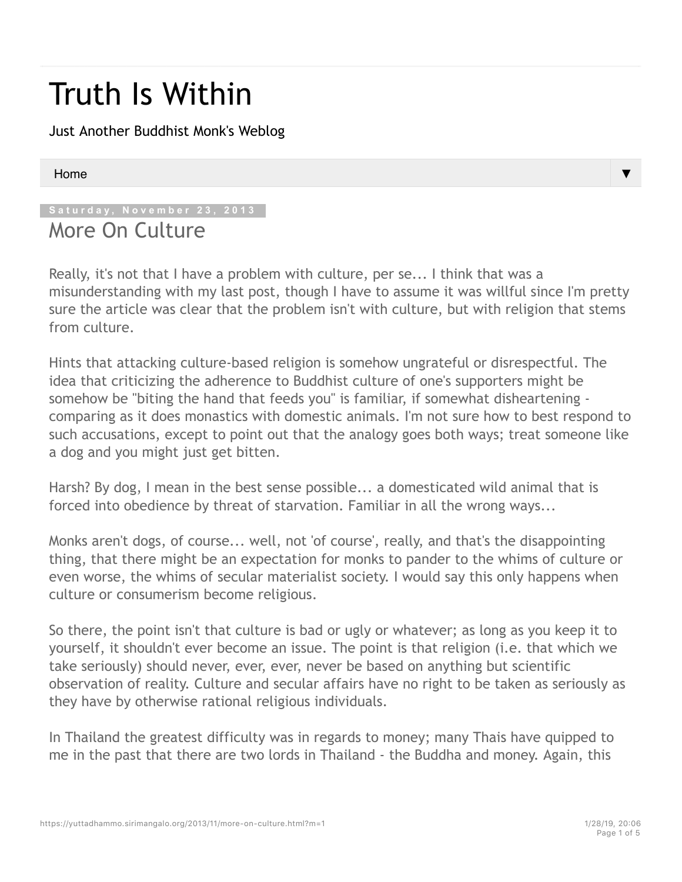# Truth Is Within

Just Another Buddhist Monk's Weblog

#### Home

#### **Saturday, November 23, 2013**

## More On Culture

Really, it's not that I have a problem with culture, per se... I think that was a misunderstanding with my last post, though I have to assume it was willful since I'm pretty sure the article was clear that the problem isn't with culture, but with religion that stems from culture.

Hints that attacking culture-based religion is somehow ungrateful or disrespectful. The idea that criticizing the adherence to Buddhist culture of one's supporters might be somehow be "biting the hand that feeds you" is familiar, if somewhat disheartening comparing as it does monastics with domestic animals. I'm not sure how to best respond to such accusations, except to point out that the analogy goes both ways; treat someone like a dog and you might just get bitten.

Harsh? By dog, I mean in the best sense possible... a domesticated wild animal that is forced into obedience by threat of starvation. Familiar in all the wrong ways...

Monks aren't dogs, of course... well, not 'of course', really, and that's the disappointing thing, that there might be an expectation for monks to pander to the whims of culture or even worse, the whims of secular materialist society. I would say this only happens when culture or consumerism become religious.

So there, the point isn't that culture is bad or ugly or whatever; as long as you keep it to yourself, it shouldn't ever become an issue. The point is that religion (i.e. that which we take seriously) should never, ever, ever, never be based on anything but scientific observation of reality. Culture and secular affairs have no right to be taken as seriously as they have by otherwise rational religious individuals.

In Thailand the greatest difficulty was in regards to money; many Thais have quipped to me in the past that there are two lords in Thailand - the Buddha and money. Again, this

▼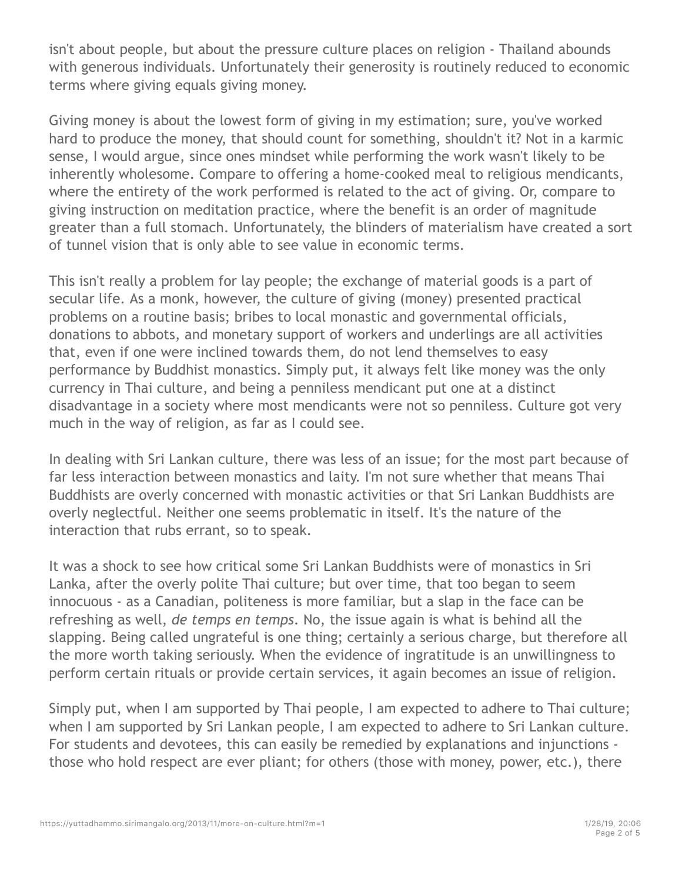isn't about people, but about the pressure culture places on religion - Thailand abounds with generous individuals. Unfortunately their generosity is routinely reduced to economic terms where giving equals giving money.

Giving money is about the lowest form of giving in my estimation; sure, you've worked hard to produce the money, that should count for something, shouldn't it? Not in a karmic sense, I would argue, since ones mindset while performing the work wasn't likely to be inherently wholesome. Compare to offering a home-cooked meal to religious mendicants, where the entirety of the work performed is related to the act of giving. Or, compare to giving instruction on meditation practice, where the benefit is an order of magnitude greater than a full stomach. Unfortunately, the blinders of materialism have created a sort of tunnel vision that is only able to see value in economic terms.

This isn't really a problem for lay people; the exchange of material goods is a part of secular life. As a monk, however, the culture of giving (money) presented practical problems on a routine basis; bribes to local monastic and governmental officials, donations to abbots, and monetary support of workers and underlings are all activities that, even if one were inclined towards them, do not lend themselves to easy performance by Buddhist monastics. Simply put, it always felt like money was the only currency in Thai culture, and being a penniless mendicant put one at a distinct disadvantage in a society where most mendicants were not so penniless. Culture got very much in the way of religion, as far as I could see.

In dealing with Sri Lankan culture, there was less of an issue; for the most part because of far less interaction between monastics and laity. I'm not sure whether that means Thai Buddhists are overly concerned with monastic activities or that Sri Lankan Buddhists are overly neglectful. Neither one seems problematic in itself. It's the nature of the interaction that rubs errant, so to speak.

It was a shock to see how critical some Sri Lankan Buddhists were of monastics in Sri Lanka, after the overly polite Thai culture; but over time, that too began to seem innocuous - as a Canadian, politeness is more familiar, but a slap in the face can be refreshing as well, *de temps en temps*. No, the issue again is what is behind all the slapping. Being called ungrateful is one thing; certainly a serious charge, but therefore all the more worth taking seriously. When the evidence of ingratitude is an unwillingness to perform certain rituals or provide certain services, it again becomes an issue of religion.

Simply put, when I am supported by Thai people, I am expected to adhere to Thai culture; when I am supported by Sri Lankan people, I am expected to adhere to Sri Lankan culture. For students and devotees, this can easily be remedied by explanations and injunctions those who hold respect are ever pliant; for others (those with money, power, etc.), there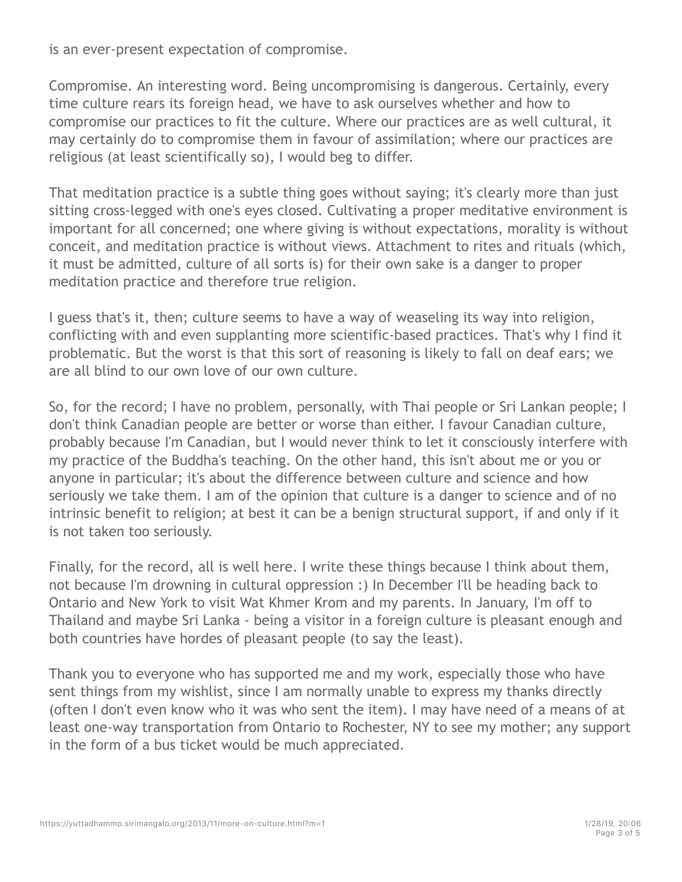is an ever-present expectation of compromise.

Compromise. An interesting word. Being uncompromising is dangerous. Certainly, every time culture rears its foreign head, we have to ask ourselves whether and how to compromise our practices to fit the culture. Where our practices are as well cultural, it may certainly do to compromise them in favour of assimilation; where our practices are religious (at least scientifically so), I would beg to differ.

That meditation practice is a subtle thing goes without saying; it's clearly more than just sitting cross-legged with one's eyes closed. Cultivating a proper meditative environment is important for all concerned; one where giving is without expectations, morality is without conceit, and meditation practice is without views. Attachment to rites and rituals (which, it must be admitted, culture of all sorts is) for their own sake is a danger to proper meditation practice and therefore true religion.

I guess that's it, then; culture seems to have a way of weaseling its way into religion, conflicting with and even supplanting more scientific-based practices. That's why I find it problematic. But the worst is that this sort of reasoning is likely to fall on deaf ears; we are all blind to our own love of our own culture.

So, for the record; I have no problem, personally, with Thai people or Sri Lankan people; I don't think Canadian people are better or worse than either. I favour Canadian culture, probably because I'm Canadian, but I would never think to let it consciously interfere with my practice of the Buddha's teaching. On the other hand, this isn't about me or you or anyone in particular; it's about the difference between culture and science and how seriously we take them. I am of the opinion that culture is a danger to science and of no intrinsic benefit to religion; at best it can be a benign structural support, if and only if it is not taken too seriously.

Finally, for the record, all is well here. I write these things because I think about them, not because I'm drowning in cultural oppression :) In December I'll be heading back to Ontario and New York to visit Wat Khmer Krom and my parents. In January, I'm off to Thailand and maybe Sri Lanka - being a visitor in a foreign culture is pleasant enough and both countries have hordes of pleasant people (to say the least).

Thank you to everyone who has supported me and my work, especially those who have sent things from my wishlist, since I am normally unable to express my thanks directly (often I don't even know who it was who sent the item). I may have need of a means of at least one-way transportation from Ontario to Rochester, NY to see my mother; any support in the form of a bus ticket would be much appreciated.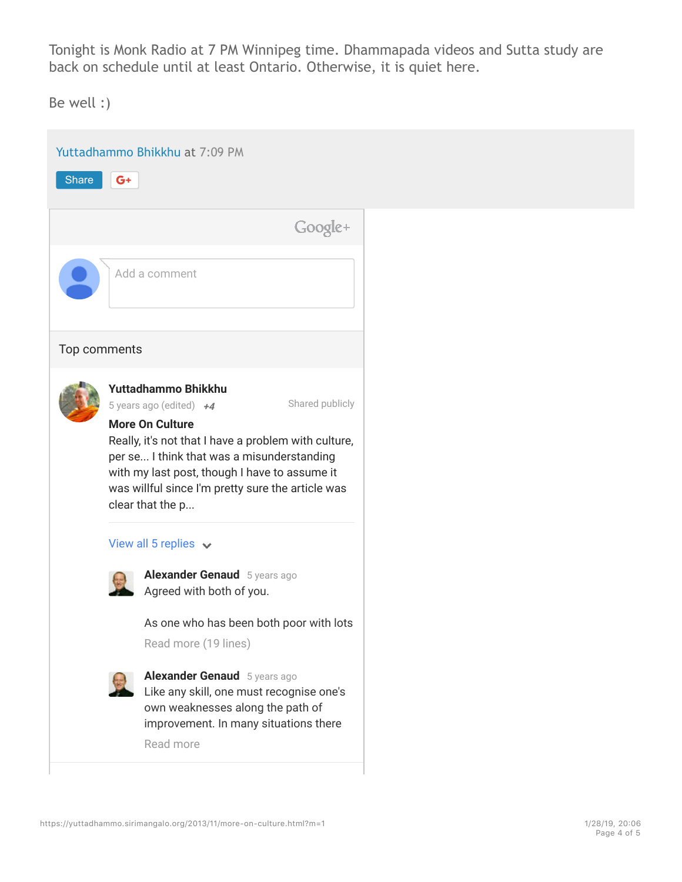Tonight is Monk Radio at 7 PM Winnipeg time. Dhammapada videos and Sutta study are back on schedule until at least Ontario. Otherwise, it is quiet here.

Be well :)